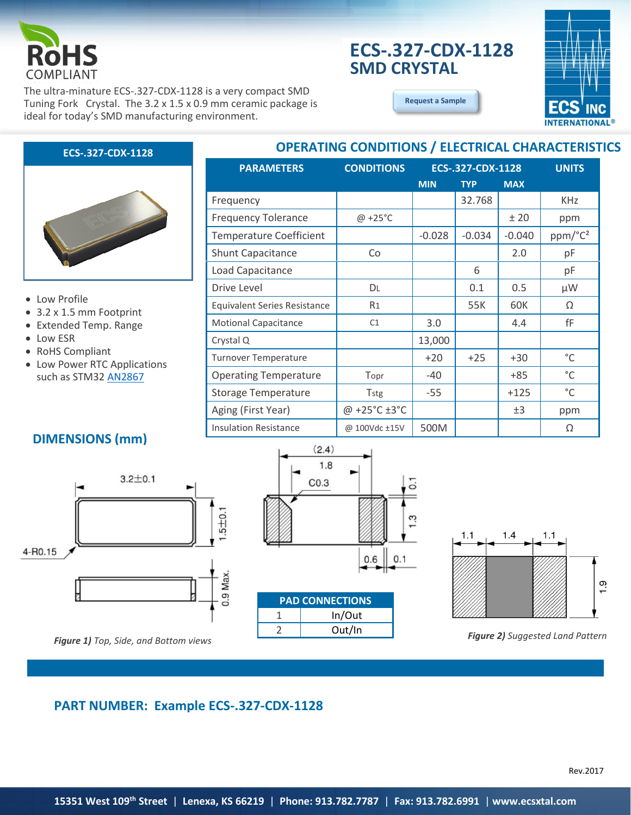

• Low Profile

• Low ESR

• RoHS Compliant

## **ECS-.327-CDX-1128 SMD CRYSTAL**

**[Request a Sample](http://ecsxtalportal.com/samplepilot/samplerequest.php)**

The ultra-minature ECS-.327-CDX-1128 is a very compact SMD Tuning Fork Crystal. The 3.2 x 1.5 x 0.9 mm ceramic package is ideal for today's SMD manufacturing environment.

#### **OPERATING CONDITIONS / ELECTRICAL CHARACTERISTICS ECS-.327-CDX-1128**



# **DIMENSIONS (mm)**

• Low Power RTC Applications such as STM32 [AN2867](http://www.st.com/content/ccc/resource/technical/document/application_note/c6/eb/5e/11/e3/69/43/eb/CD00221665.pdf/files/CD00221665.pdf/jcr:content/translations/en.CD00221665.pdf)

• 3.2 x 1.5 mm Footprint • Extended Temp. Range



*Figure 1) Top, Side, and Bottom views*



| <b>PAD CONNECTIONS</b> |        |
|------------------------|--------|
|                        | In/Out |
|                        | Out/In |



*Figure 2) Suggested Land Pattern*

### **PART NUMBER: Example ECS-.327-CDX-1128**